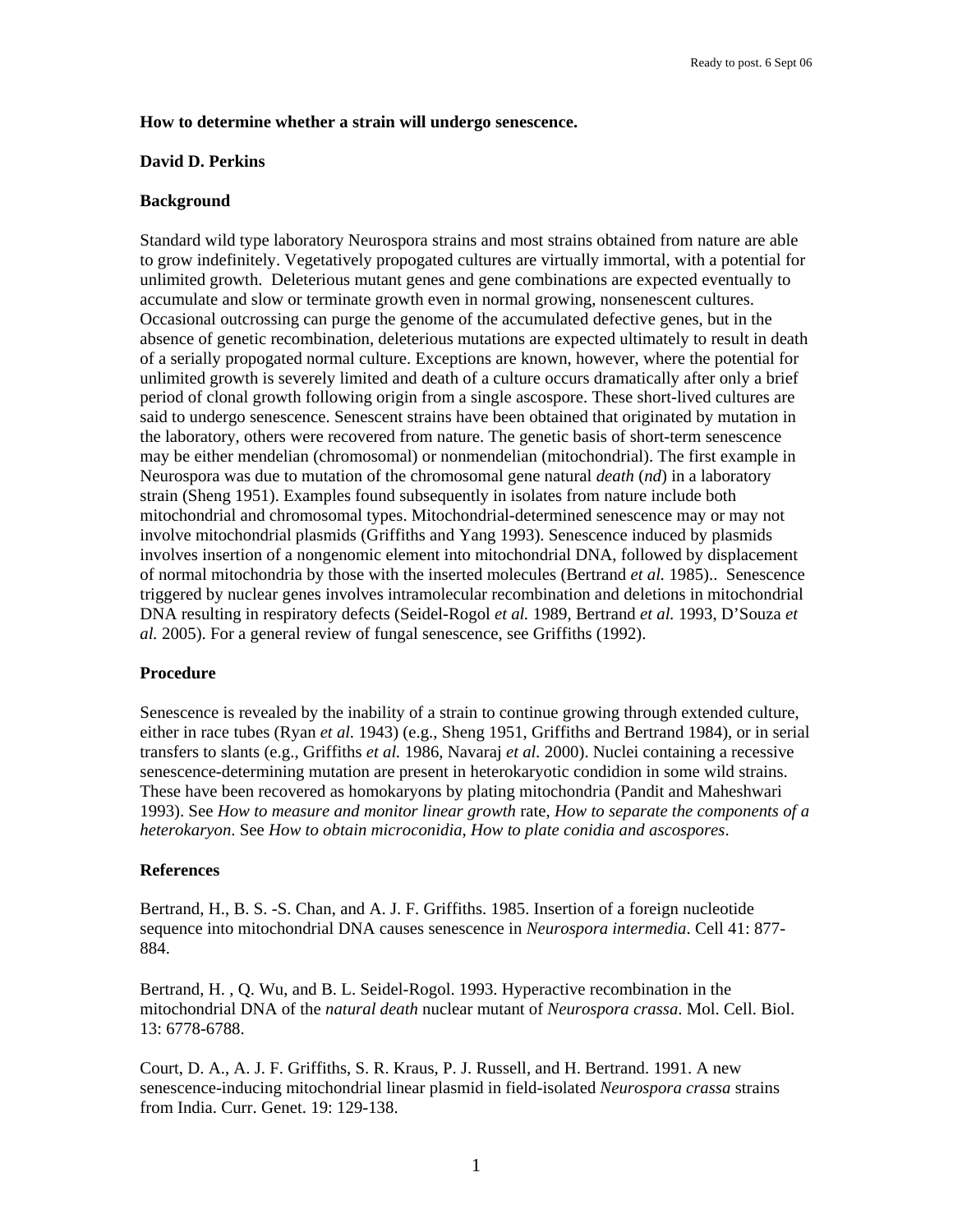## **How to determine whether a strain will undergo senescence.**

## **David D. Perkins**

# **Background**

Standard wild type laboratory Neurospora strains and most strains obtained from nature are able to grow indefinitely. Vegetatively propogated cultures are virtually immortal, with a potential for unlimited growth. Deleterious mutant genes and gene combinations are expected eventually to accumulate and slow or terminate growth even in normal growing, nonsenescent cultures. Occasional outcrossing can purge the genome of the accumulated defective genes, but in the absence of genetic recombination, deleterious mutations are expected ultimately to result in death of a serially propogated normal culture. Exceptions are known, however, where the potential for unlimited growth is severely limited and death of a culture occurs dramatically after only a brief period of clonal growth following origin from a single ascospore. These short-lived cultures are said to undergo senescence. Senescent strains have been obtained that originated by mutation in the laboratory, others were recovered from nature. The genetic basis of short-term senescence may be either mendelian (chromosomal) or nonmendelian (mitochondrial). The first example in Neurospora was due to mutation of the chromosomal gene natural *death* (*nd*) in a laboratory strain (Sheng 1951). Examples found subsequently in isolates from nature include both mitochondrial and chromosomal types. Mitochondrial-determined senescence may or may not involve mitochondrial plasmids (Griffiths and Yang 1993). Senescence induced by plasmids involves insertion of a nongenomic element into mitochondrial DNA, followed by displacement of normal mitochondria by those with the inserted molecules (Bertrand *et al.* 1985).. Senescence triggered by nuclear genes involves intramolecular recombination and deletions in mitochondrial DNA resulting in respiratory defects (Seidel-Rogol *et al.* 1989, Bertrand *et al.* 1993, D'Souza *et al.* 2005). For a general review of fungal senescence, see Griffiths (1992).

### **Procedure**

Senescence is revealed by the inability of a strain to continue growing through extended culture, either in race tubes (Ryan *et al.* 1943) (e.g., Sheng 1951, Griffiths and Bertrand 1984), or in serial transfers to slants (e.g., Griffiths *et al.* 1986, Navaraj *et al.* 2000). Nuclei containing a recessive senescence-determining mutation are present in heterokaryotic condidion in some wild strains. These have been recovered as homokaryons by plating mitochondria (Pandit and Maheshwari 1993). See *How to measure and monitor linear growth* rate, *How to separate the components of a heterokaryon*. See *How to obtain microconidia*, *How to plate conidia and ascospores*.

### **References**

Bertrand, H., B. S. -S. Chan, and A. J. F. Griffiths. 1985. Insertion of a foreign nucleotide sequence into mitochondrial DNA causes senescence in *Neurospora intermedia*. Cell 41: 877- 884.

Bertrand, H. , Q. Wu, and B. L. Seidel-Rogol. 1993. Hyperactive recombination in the mitochondrial DNA of the *natural death* nuclear mutant of *Neurospora crassa*. Mol. Cell. Biol. 13: 6778-6788.

Court, D. A., A. J. F. Griffiths, S. R. Kraus, P. J. Russell, and H. Bertrand. 1991. A new senescence-inducing mitochondrial linear plasmid in field-isolated *Neurospora crassa* strains from India. Curr. Genet. 19: 129-138.